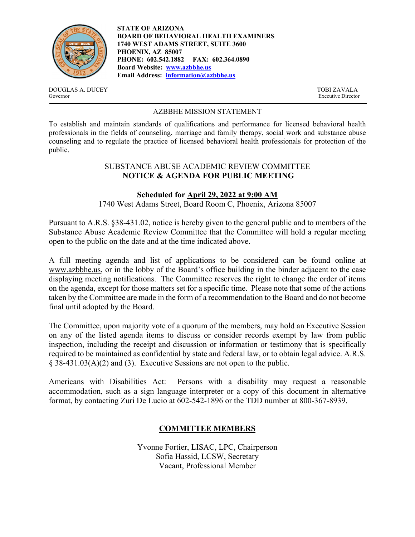

**STATE OF ARIZONA BOARD OF BEHAVIORAL HEALTH EXAMINERS 1740 WEST ADAMS STREET, SUITE 3600 PHOENIX, AZ 85007 PHONE: 602.542.1882 FAX: 602.364.0890 Board Website: www.azbbhe.us Email Address: information@azbbhe.us**

DOUGLAS A. DUCEY TOBI ZAVALA Governor Executive Director

# AZBBHE MISSION STATEMENT

To establish and maintain standards of qualifications and performance for licensed behavioral health professionals in the fields of counseling, marriage and family therapy, social work and substance abuse counseling and to regulate the practice of licensed behavioral health professionals for protection of the public.

## SUBSTANCE ABUSE ACADEMIC REVIEW COMMITTEE **NOTICE & AGENDA FOR PUBLIC MEETING**

## **Scheduled for April 29, 2022 at 9:00 AM**

1740 West Adams Street, Board Room C, Phoenix, Arizona 85007

Pursuant to A.R.S. §38-431.02, notice is hereby given to the general public and to members of the Substance Abuse Academic Review Committee that the Committee will hold a regular meeting open to the public on the date and at the time indicated above.

A full meeting agenda and list of applications to be considered can be found online at www.azbbhe.us, or in the lobby of the Board's office building in the binder adjacent to the case displaying meeting notifications. The Committee reserves the right to change the order of items on the agenda, except for those matters set for a specific time. Please note that some of the actions taken by the Committee are made in the form of a recommendation to the Board and do not become final until adopted by the Board.

The Committee, upon majority vote of a quorum of the members, may hold an Executive Session on any of the listed agenda items to discuss or consider records exempt by law from public inspection, including the receipt and discussion or information or testimony that is specifically required to be maintained as confidential by state and federal law, or to obtain legal advice. A.R.S. § 38-431.03(A)(2) and (3). Executive Sessions are not open to the public.

Americans with Disabilities Act: Persons with a disability may request a reasonable accommodation, such as a sign language interpreter or a copy of this document in alternative format, by contacting Zuri De Lucio at 602-542-1896 or the TDD number at 800-367-8939.

# **COMMITTEE MEMBERS**

Yvonne Fortier, LISAC, LPC, Chairperson Sofia Hassid, LCSW, Secretary Vacant, Professional Member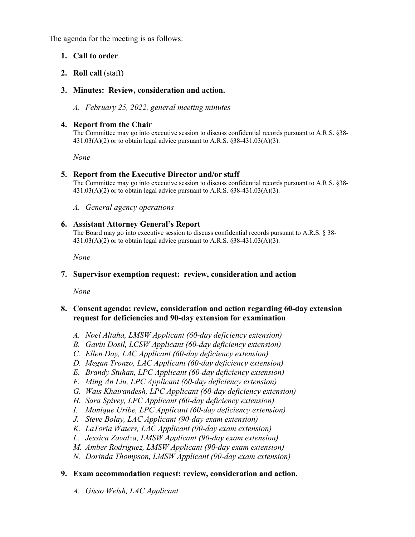The agenda for the meeting is as follows:

# **1. Call to order**

# **2. Roll call** (staff)

# **3. Minutes: Review, consideration and action.**

*A. February 25, 2022, general meeting minutes* 

### **4. Report from the Chair**

The Committee may go into executive session to discuss confidential records pursuant to A.R.S. §38-  $431.03(A)(2)$  or to obtain legal advice pursuant to A.R.S. §38-431.03(A)(3).

 *None* 

## **5. Report from the Executive Director and/or staff**

The Committee may go into executive session to discuss confidential records pursuant to A.R.S. §38-  $431.03(A)(2)$  or to obtain legal advice pursuant to A.R.S. §38-431.03(A)(3).

*A. General agency operations* 

#### **6. Assistant Attorney General's Report**

The Board may go into executive session to discuss confidential records pursuant to A.R.S. § 38- 431.03(A)(2) or to obtain legal advice pursuant to A.R.S. §38-431.03(A)(3).

 *None* 

## **7. Supervisor exemption request: review, consideration and action**

 *None* 

#### **8. Consent agenda: review, consideration and action regarding 60-day extension request for deficiencies and 90-day extension for examination**

- *A. Noel Altaha, LMSW Applicant (60-day deficiency extension)*
- *B. Gavin Dosil, LCSW Applicant (60-day deficiency extension)*
- *C. Ellen Day, LAC Applicant (60-day deficiency extension)*
- *D. Megan Tronzo, LAC Applicant (60-day deficiency extension)*
- *E. Brandy Stuhan, LPC Applicant (60-day deficiency extension)*
- *F. Ming An Liu, LPC Applicant (60-day deficiency extension)*
- *G. Wais Khairandesh, LPC Applicant (60-day deficiency extension)*
- *H. Sara Spivey, LPC Applicant (60-day deficiency extension)*
- *I. Monique Uribe, LPC Applicant (60-day deficiency extension)*
- *J. Steve Bolay, LAC Applicant (90-day exam extension)*
- *K. LaToria Waters, LAC Applicant (90-day exam extension)*
- *L. Jessica Zavalza, LMSW Applicant (90-day exam extension)*
- *M. Amber Rodriguez, LMSW Applicant (90-day exam extension)*
- *N. Dorinda Thompson, LMSW Applicant (90-day exam extension)*

# **9. Exam accommodation request: review, consideration and action.**

*A. Gisso Welsh, LAC Applicant*